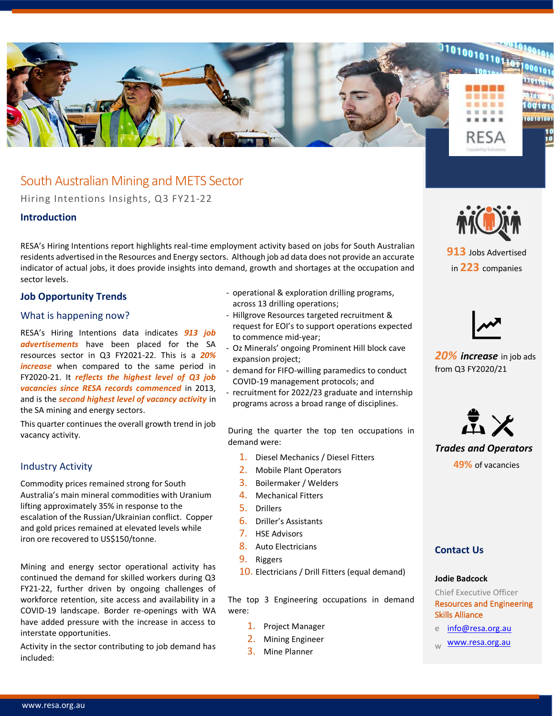

# South Australian Mining and METS Sector

Hiring Intentions Insights, Q3 FY21-22

### **Introduction**

RESA's Hiring Intentions report highlights real-time employment activity based on jobs for South Australian residents advertised in the Resources and Energy sectors. Although job ad data does not provide an accurate indicator of actual jobs, it does provide insights into demand, growth and shortages at the occupation and sector levels.

### **Job Opportunity Trends**

### What is happening now?

RESA's Hiring Intentions data indicates *913 job advertisements* have been placed for the SA resources sector in Q3 FY2021-22. This is a *20% increase* when compared to the same period in FY2020-21. It *reflects the highest level of Q3 job vacancies since RESA records commenced* in 2013, and is the *second highest level of vacancy activity* in the SA mining and energy sectors.

This quarter continues the overall growth trend in job vacancy activity.

### Industry Activity

Commodity prices remained strong for South Australia's main mineral commodities with Uranium lifting approximately 35% in response to the escalation of the Russian/Ukrainian conflict. Copper and gold prices remained at elevated levels while iron ore recovered to US\$150/tonne.

Mining and energy sector operational activity has continued the demand for skilled workers during Q3 FY21-22, further driven by ongoing challenges of workforce retention, site access and availability in a COVID-19 landscape. Border re-openings with WA have added pressure with the increase in access to interstate opportunities.

Activity in the sector contributing to job demand has included:

- operational & exploration drilling programs, across 13 drilling operations;
- Hillgrove Resources targeted recruitment & request for EOI's to support operations expected to commence mid-year;
- Oz Minerals' ongoing Prominent Hill block cave expansion project;
- demand for FIFO-willing paramedics to conduct COVID-19 management protocols; and
- recruitment for 2022/23 graduate and internship programs across a broad range of disciplines.

During the quarter the top ten occupations in demand were:

- 1. Diesel Mechanics / Diesel Fitters
- 2. Mobile Plant Operators
- 3. Boilermaker / Welders
- 4. Mechanical Fitters
- 5. Drillers
- 6. Driller's Assistants
- 7. HSE Advisors
- 8. Auto Electricians
- 9. Riggers
- 10. Electricians / Drill Fitters (equal demand)

The top 3 Engineering occupations in demand were:

- 1. Project Manager
- 2. Mining Engineer
- 3. Mine Planner



**913** Jobs Advertised in **223** companies



*20% increase* in job ads from Q3 FY2020/21



## *Trades and Operators* **49%** of vacancies

### **Contact Us**

#### **Jodie Badcock**

Chief Executive Officer Resources and Engineering Skills Alliance

- e [info@resa.org.au](mailto:info@resa.org.au)
- [www.resa.org.au](http://www.resa.org.au/)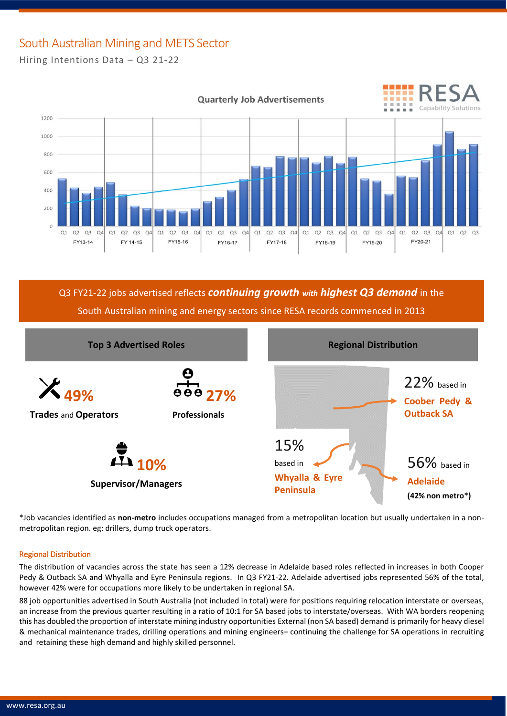## South Australian Mining and METS Sector Hiring Intentions Data – Q3 21-22



Q3 FY21-22 jobs advertised reflects *continuing growth with highest Q3 demand* in the South Australian mining and energy sectors since RESA records commenced in 2013



\*Job vacancies identified as **non-metro** includes occupations managed from a metropolitan location but usually undertaken in a nonmetropolitan region. eg: drillers, dump truck operators.

### Regional Distribution

The distribution of vacancies across the state has seen a 12% decrease in Adelaide based roles reflected in increases in both Cooper Pedy & Outback SA and Whyalla and Eyre Peninsula regions. In Q3 FY21-22. Adelaide advertised jobs represented 56% of the total, however 42% were for occupations more likely to be undertaken in regional SA.

88 job opportunities advertised in South Australia (not included in total) were for positions requiring relocation interstate or overseas, an increase from the previous quarter resulting in a ratio of 10:1 for SA based jobs to interstate/overseas. With WA borders reopening this has doubled the proportion of interstate mining industry opportunities External (non SA based) demand is primarily for heavy diesel & mechanical maintenance trades, drilling operations and mining engineers– continuing the challenge for SA operations in recruiting and retaining these high demand and highly skilled personnel.